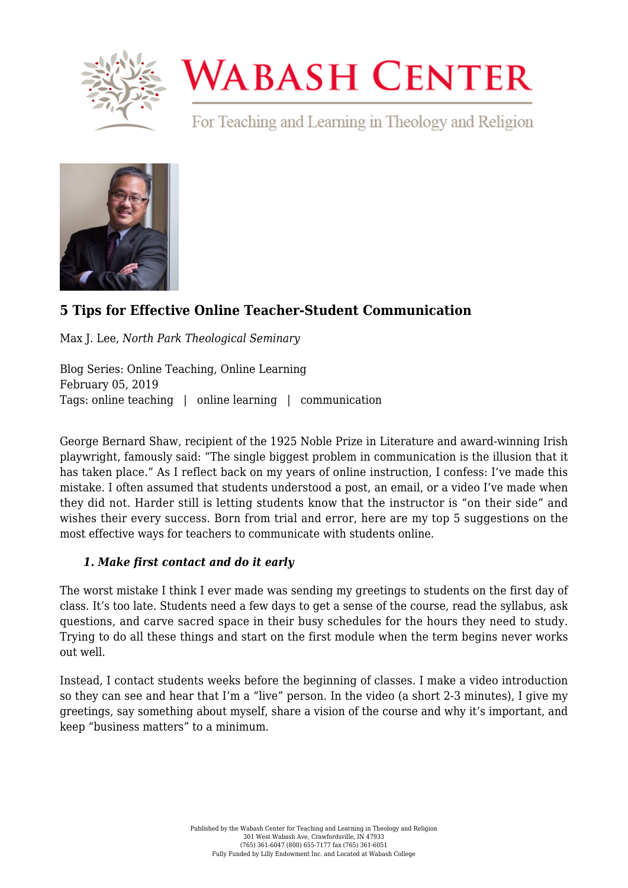

# **WABASH CENTER**

For Teaching and Learning in Theology and Religion



# **[5 Tips for Effective Online Teacher-Student Communication](https://www.wabashcenter.wabash.edu/2019/02/5-tips-for-effective-online-teacher-student-communication/)**

Max J. Lee, *North Park Theological Seminary*

Blog Series: Online Teaching, Online Learning February 05, 2019 Tags: online teaching | online learning | communication

George Bernard Shaw, recipient of the 1925 Noble Prize in Literature and award-winning Irish playwright, famously said: "The single biggest problem in communication is the illusion that it has taken place." As I reflect back on my years of online instruction, I confess: I've made this mistake. I often assumed that students understood a post, an email, or a video I've made when they did not. Harder still is letting students know that the instructor is "on their side" and wishes their every success. Born from trial and error, here are my top 5 suggestions on the most effective ways for teachers to communicate with students online.

## *1. Make first contact and do it early*

The worst mistake I think I ever made was sending my greetings to students on the first day of class. It's too late. Students need a few days to get a sense of the course, read the syllabus, ask questions, and carve sacred space in their busy schedules for the hours they need to study. Trying to do all these things and start on the first module when the term begins never works out well.

Instead, I contact students weeks before the beginning of classes. I make a video introduction so they can see and hear that I'm a "live" person. In the video (a short 2-3 minutes), I give my greetings, say something about myself, share a vision of the course and why it's important, and keep "business matters" to a minimum.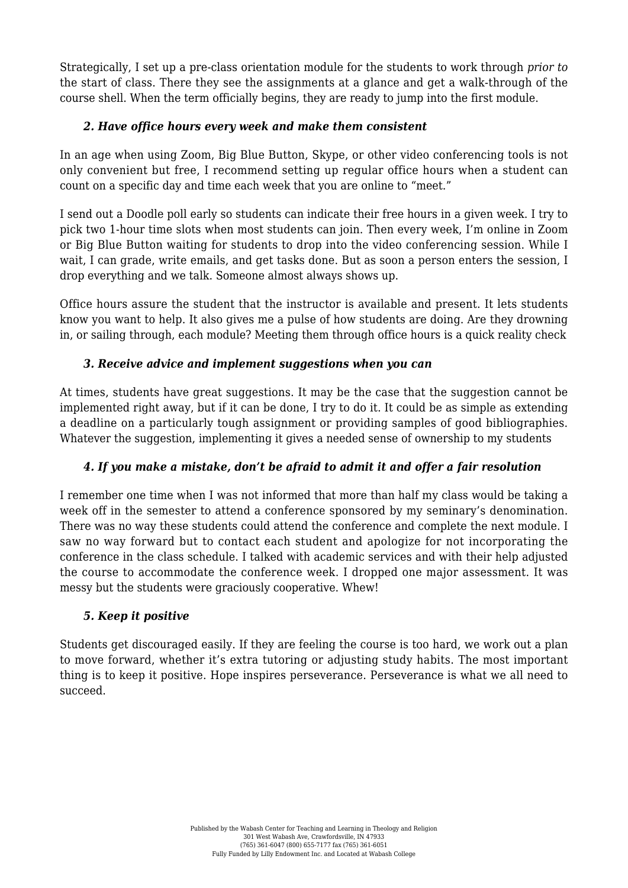Strategically, I set up a pre-class orientation module for the students to work through *prior to* the start of class. There they see the assignments at a glance and get a walk-through of the course shell. When the term officially begins, they are ready to jump into the first module.

#### *2. Have office hours every week and make them consistent*

In an age when using [Zoom](https://zoom.us/), [Big Blue Button](https://bigbluebutton.org/), [Skype](https://www.skype.com/en/), or other video conferencing tools is not only convenient but free, I recommend setting up regular office hours when a student can count on a specific day and time each week that you are online to "meet."

I send out a [Doodle](https://doodle.com/) poll early so students can indicate their free hours in a given week. I try to pick two 1-hour time slots when most students can join. Then every week, I'm online in Zoom or Big Blue Button waiting for students to drop into the video conferencing session. While I wait, I can grade, write emails, and get tasks done. But as soon a person enters the session, I drop everything and we talk. Someone almost always shows up.

Office hours assure the student that the instructor is available and present. It lets students know you want to help. It also gives me a pulse of how students are doing. Are they drowning in, or sailing through, each module? Meeting them through office hours is a quick reality check

#### *3. Receive advice and implement suggestions when you can*

At times, students have great suggestions. It may be the case that the suggestion cannot be implemented right away, but if it can be done, I try to do it. It could be as simple as extending a deadline on a particularly tough assignment or providing samples of good bibliographies. Whatever the suggestion, implementing it gives a needed sense of ownership to my students

## *4. If you make a mistake, don't be afraid to admit it and offer a fair resolution*

I remember one time when I was not informed that more than half my class would be taking a week off in the semester to attend a conference sponsored by my seminary's denomination. There was no way these students could attend the conference and complete the next module. I saw no way forward but to contact each student and apologize for not incorporating the conference in the class schedule. I talked with academic services and with their help adjusted the course to accommodate the conference week. I dropped one major assessment. It was messy but the students were graciously cooperative. Whew!

#### *5. Keep it positive*

Students get discouraged easily. If they are feeling the course is too hard, we work out a plan to move forward, whether it's extra tutoring or adjusting study habits. The most important thing is to keep it positive. Hope inspires perseverance. Perseverance is what we all need to succeed.